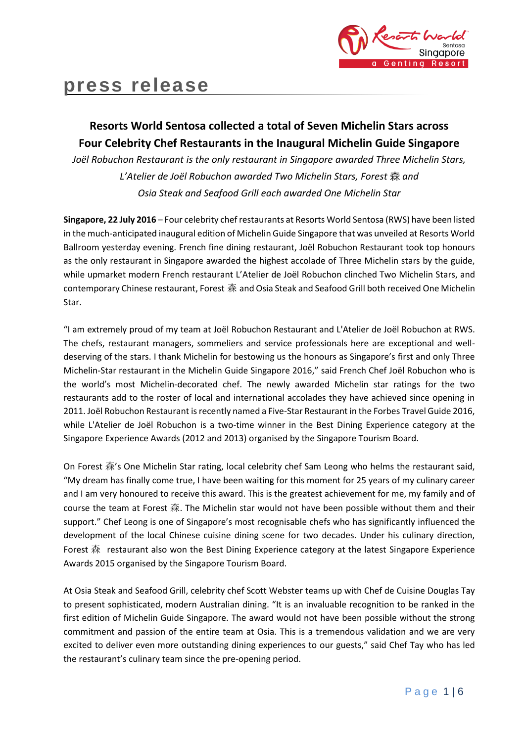

# **press release**

## **Resorts World Sentosa collected a total of Seven Michelin Stars across Four Celebrity Chef Restaurants in the Inaugural Michelin Guide Singapore**

*Joël Robuchon Restaurant is the only restaurant in Singapore awarded Three Michelin Stars, L'Atelier de Joël Robuchon awarded Two Michelin Stars, Forest* 森 *and Osia Steak and Seafood Grill each awarded One Michelin Star*

**Singapore, 22 July 2016** – Four celebrity chef restaurants at Resorts World Sentosa (RWS) have been listed in the much-anticipated inaugural edition of Michelin Guide Singapore that was unveiled at Resorts World Ballroom yesterday evening. French fine dining restaurant, Joël Robuchon Restaurant took top honours as the only restaurant in Singapore awarded the highest accolade of Three Michelin stars by the guide, while upmarket modern French restaurant L'Atelier de Joël Robuchon clinched Two Michelin Stars, and contemporary Chinese restaurant, Forest 森 and Osia Steak and Seafood Grill both received One Michelin Star.

"I am extremely proud of my team at Joël Robuchon Restaurant and L'Atelier de Joël Robuchon at RWS. The chefs, restaurant managers, sommeliers and service professionals here are exceptional and welldeserving of the stars. I thank Michelin for bestowing us the honours as Singapore's first and only Three Michelin-Star restaurant in the Michelin Guide Singapore 2016," said French Chef Joël Robuchon who is the world's most Michelin-decorated chef. The newly awarded Michelin star ratings for the two restaurants add to the roster of local and international accolades they have achieved since opening in 2011. Joël Robuchon Restaurant is recently named a Five-Star Restaurant in the Forbes Travel Guide 2016, while L'Atelier de Joël Robuchon is a two-time winner in the Best Dining Experience category at the Singapore Experience Awards (2012 and 2013) organised by the Singapore Tourism Board.

On Forest 森's One Michelin Star rating, local celebrity chef Sam Leong who helms the restaurant said, "My dream has finally come true, I have been waiting for this moment for 25 years of my culinary career and I am very honoured to receive this award. This is the greatest achievement for me, my family and of course the team at Forest 森. The Michelin star would not have been possible without them and their support." Chef Leong is one of Singapore's most recognisable chefs who has significantly influenced the development of the local Chinese cuisine dining scene for two decades. Under his culinary direction, Forest 森 restaurant also won the Best Dining Experience category at the latest Singapore Experience Awards 2015 organised by the Singapore Tourism Board.

At Osia Steak and Seafood Grill, celebrity chef Scott Webster teams up with Chef de Cuisine Douglas Tay to present sophisticated, modern Australian dining. "It is an invaluable recognition to be ranked in the first edition of Michelin Guide Singapore. The award would not have been possible without the strong commitment and passion of the entire team at Osia. This is a tremendous validation and we are very excited to deliver even more outstanding dining experiences to our guests," said Chef Tay who has led the restaurant's culinary team since the pre-opening period.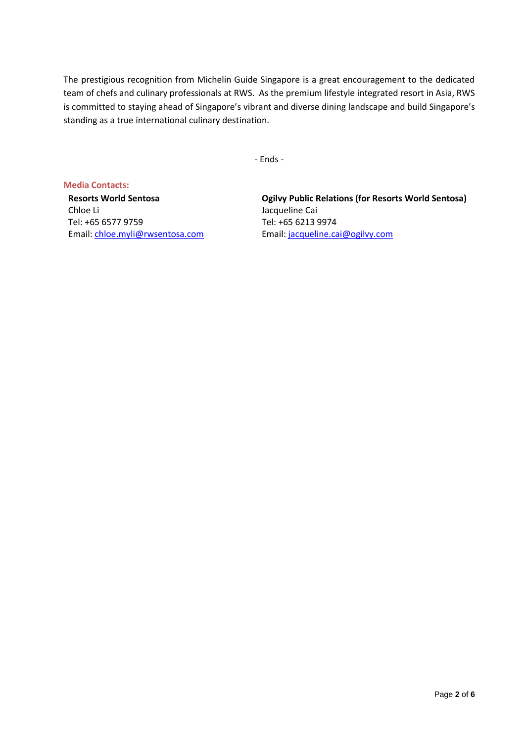The prestigious recognition from Michelin Guide Singapore is a great encouragement to the dedicated team of chefs and culinary professionals at RWS. As the premium lifestyle integrated resort in Asia, RWS is committed to staying ahead of Singapore's vibrant and diverse dining landscape and build Singapore's standing as a true international culinary destination.

- Ends -

**Media Contacts: Resorts World Sentosa** Chloe Li Tel: +65 6577 9759 Email: [chloe.myli@rwsentosa.com](mailto:chloe.myli@rwsentosa.com)

**Ogilvy Public Relations (for Resorts World Sentosa)**  Jacqueline Cai Tel: +65 6213 9974 Email: [jacqueline.cai@ogilvy.com](mailto:jacqueline.cai@ogilvy.com)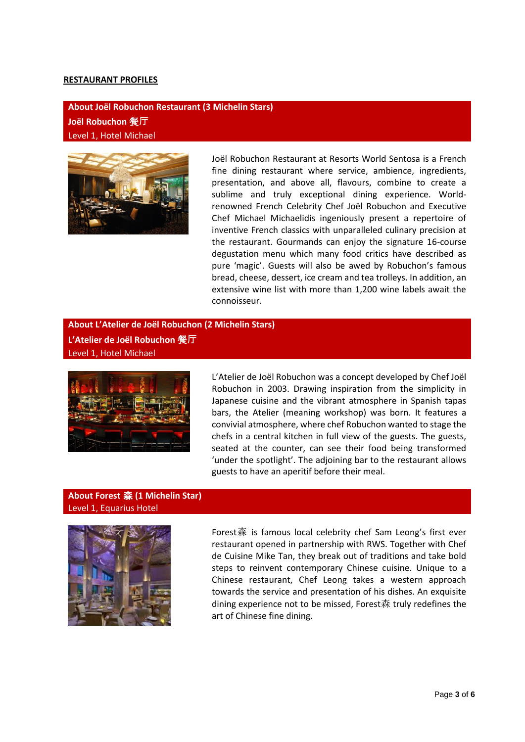#### **RESTAURANT PROFILES**

**About Joël Robuchon Restaurant (3 Michelin Stars) Joël Robuchon** 餐**厅** Level 1, Hotel Michael



Joël Robuchon Restaurant at Resorts World Sentosa is a French fine dining restaurant where service, ambience, ingredients, presentation, and above all, flavours, combine to create a sublime and truly exceptional dining experience. Worldrenowned French Celebrity Chef Joël Robuchon and Executive Chef Michael Michaelidis ingeniously present a repertoire of inventive French classics with unparalleled culinary precision at the restaurant. Gourmands can enjoy the signature 16-course degustation menu which many food critics have described as pure 'magic'. Guests will also be awed by Robuchon's famous bread, cheese, dessert, ice cream and tea trolleys. In addition, an extensive wine list with more than 1,200 wine labels await the connoisseur.

**About L'Atelier de Joël Robuchon (2 Michelin Stars) L'Atelier de Joël Robuchon** 餐**厅** Level 1, Hotel Michael



L'Atelier de Joël Robuchon was a concept developed by Chef Joël Robuchon in 2003. Drawing inspiration from the simplicity in Japanese cuisine and the vibrant atmosphere in Spanish tapas bars, the Atelier (meaning workshop) was born. It features a convivial atmosphere, where chef Robuchon wanted to stage the chefs in a central kitchen in full view of the guests. The guests, seated at the counter, can see their food being transformed 'under the spotlight'. The adjoining bar to the restaurant allows guests to have an aperitif before their meal.

#### **About Forest** 森 **(1 Michelin Star)** Level 1, Equarius Hotel



Forest森 is famous local celebrity chef Sam Leong's first ever restaurant opened in partnership with RWS. Together with Chef de Cuisine Mike Tan, they break out of traditions and take bold steps to reinvent contemporary Chinese cuisine. Unique to a Chinese restaurant, Chef Leong takes a western approach towards the service and presentation of his dishes. An exquisite dining experience not to be missed, Forest森 truly redefines the art of Chinese fine dining.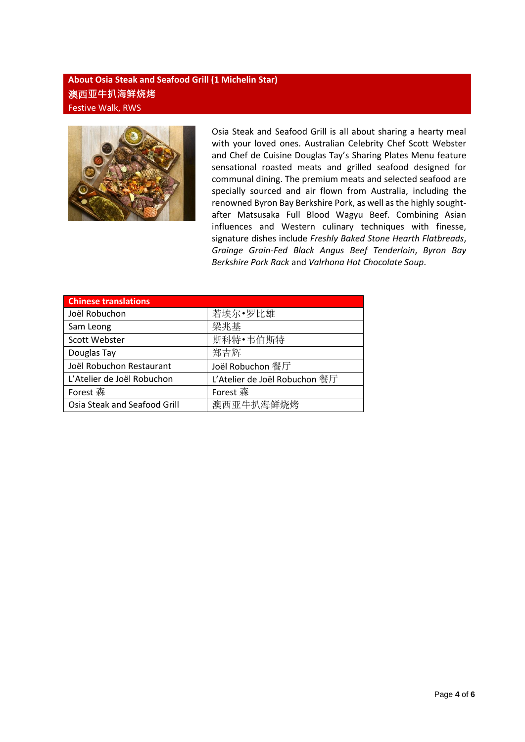### **About Osia Steak and Seafood Grill (1 Michelin Star)** 澳西**亚牛扒海鲜烧烤** Festive Walk, RWS



Osia Steak and Seafood Grill is all about sharing a hearty meal with your loved ones. Australian Celebrity Chef Scott Webster and Chef de Cuisine Douglas Tay's Sharing Plates Menu feature sensational roasted meats and grilled seafood designed for communal dining. The premium meats and selected seafood are specially sourced and air flown from Australia, including the renowned Byron Bay Berkshire Pork, as well as the highly soughtafter Matsusaka Full Blood Wagyu Beef. Combining Asian influences and Western culinary techniques with finesse, signature dishes include *Freshly Baked Stone Hearth Flatbreads*, *Grainge Grain-Fed Black Angus Beef Tenderloin*, *Byron Bay Berkshire Pork Rack* and *Valrhona Hot Chocolate Soup*.

| <b>Chinese translations</b>  |                               |
|------------------------------|-------------------------------|
| Joël Robuchon                | 若埃尔•罗比雄                       |
| Sam Leong                    | 梁兆基                           |
| Scott Webster                | 斯科特·韦伯斯特                      |
| Douglas Tay                  | 郑吉辉                           |
| Joël Robuchon Restaurant     | Joël Robuchon 餐厅              |
| L'Atelier de Joël Robuchon   | L'Atelier de Joël Robuchon 餐厅 |
| Forest 森                     | Forest 森                      |
| Osia Steak and Seafood Grill | 澳西亚牛扒海鲜烧烤                     |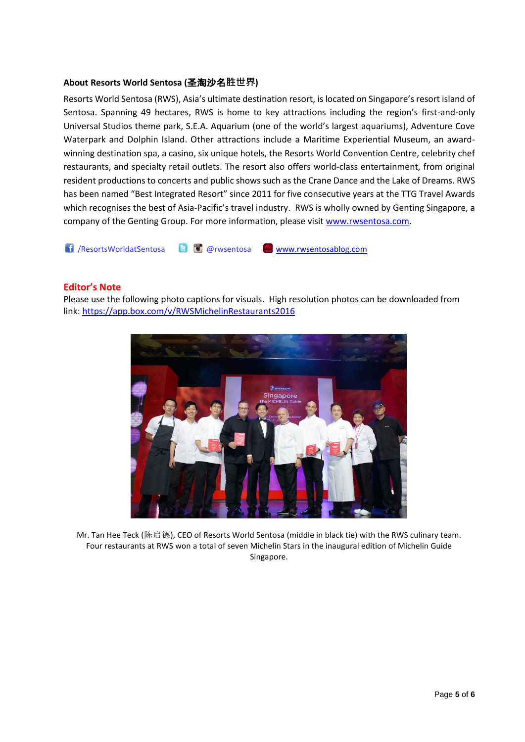#### **About Resorts World Sentosa (**圣淘沙名**胜世界)**

Resorts World Sentosa (RWS), Asia's ultimate destination resort, is located on Singapore's resort island of Sentosa. Spanning 49 hectares, RWS is home to key attractions including the region's first-and-only Universal Studios theme park, S.E.A. Aquarium (one of the world's largest aquariums), Adventure Cove Waterpark and Dolphin Island. Other attractions include a Maritime Experiential Museum, an awardwinning destination spa, a casino, six unique hotels, the Resorts World Convention Centre, celebrity chef restaurants, and specialty retail outlets. The resort also offers world-class entertainment, from original resident productions to concerts and public shows such as the Crane Dance and the Lake of Dreams. RWS has been named "Best Integrated Resort" since 2011 for five consecutive years at the TTG Travel Awards which recognises the best of Asia-Pacific's travel industry. RWS is wholly owned by Genting Singapore, a company of the Genting Group. For more information, please visi[t www.rwsentosa.com.](http://www.rwsentosa.com/)

/ResortsWorldatSentosa @rwsentosa [www.rwsentosablog.com](http://www.rwsentosablog.com/)

#### **Editor's Note**

Please use the following photo captions for visuals. High resolution photos can be downloaded from link:<https://app.box.com/v/RWSMichelinRestaurants2016>



Mr. Tan Hee Teck (陈启德), CEO of Resorts World Sentosa (middle in black tie) with the RWS culinary team. Four restaurants at RWS won a total of seven Michelin Stars in the inaugural edition of Michelin Guide Singapore.